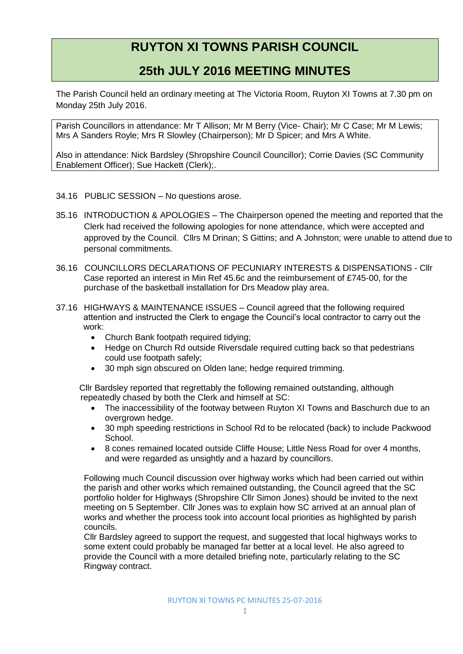## **RUYTON XI TOWNS PARISH COUNCIL**

## **25th JULY 2016 MEETING MINUTES**

The Parish Council held an ordinary meeting at The Victoria Room, Ruyton XI Towns at 7.30 pm on Monday 25th July 2016.

Parish Councillors in attendance: Mr T Allison; Mr M Berry (Vice- Chair); Mr C Case; Mr M Lewis; Mrs A Sanders Royle; Mrs R Slowley (Chairperson); Mr D Spicer; and Mrs A White.

Also in attendance: Nick Bardsley (Shropshire Council Councillor); Corrie Davies (SC Community Enablement Officer); Sue Hackett (Clerk);.

## 34.16 PUBLIC SESSION – No questions arose.

- 35.16 INTRODUCTION & APOLOGIES The Chairperson opened the meeting and reported that the Clerk had received the following apologies for none attendance, which were accepted and approved by the Council. Cllrs M Drinan; S Gittins; and A Johnston; were unable to attend due to personal commitments.
- 36.16 COUNCILLORS DECLARATIONS OF PECUNIARY INTERESTS & DISPENSATIONS Cllr Case reported an interest in Min Ref 45.6c and the reimbursement of £745-00, for the purchase of the basketball installation for Drs Meadow play area.
- 37.16 HIGHWAYS & MAINTENANCE ISSUES Council agreed that the following required attention and instructed the Clerk to engage the Council's local contractor to carry out the work:
	- Church Bank footpath required tidving:
	- Hedge on Church Rd outside Riversdale required cutting back so that pedestrians could use footpath safely;
	- 30 mph sign obscured on Olden lane; hedge required trimming.

Cllr Bardsley reported that regrettably the following remained outstanding, although repeatedly chased by both the Clerk and himself at SC:

- The inaccessibility of the footway between Ruyton XI Towns and Baschurch due to an overgrown hedge.
- 30 mph speeding restrictions in School Rd to be relocated (back) to include Packwood **School.**
- 8 cones remained located outside Cliffe House; Little Ness Road for over 4 months, and were regarded as unsightly and a hazard by councillors.

Following much Council discussion over highway works which had been carried out within the parish and other works which remained outstanding, the Council agreed that the SC portfolio holder for Highways (Shropshire Cllr Simon Jones) should be invited to the next meeting on 5 September. Cllr Jones was to explain how SC arrived at an annual plan of works and whether the process took into account local priorities as highlighted by parish councils.

Cllr Bardsley agreed to support the request, and suggested that local highways works to some extent could probably be managed far better at a local level. He also agreed to provide the Council with a more detailed briefing note, particularly relating to the SC Ringway contract.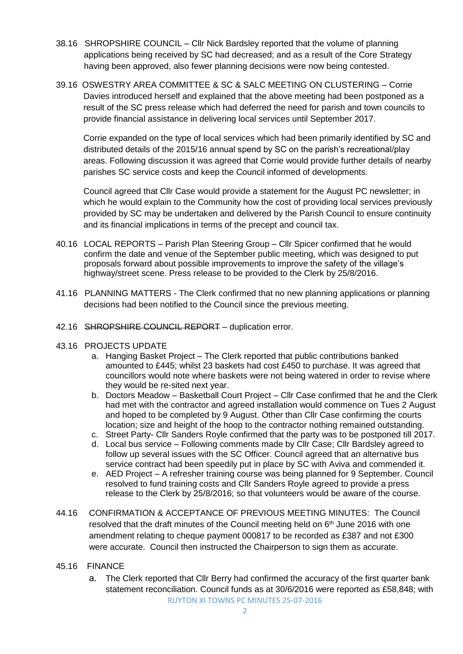- 38.16 SHROPSHIRE COUNCIL Cllr Nick Bardsley reported that the volume of planning applications being received by SC had decreased; and as a result of the Core Strategy having been approved, also fewer planning decisions were now being contested.
- 39.16 OSWESTRY AREA COMMITTEE & SC & SALC MEETING ON CLUSTERING Corrie Davies introduced herself and explained that the above meeting had been postponed as a result of the SC press release which had deferred the need for parish and town councils to provide financial assistance in delivering local services until September 2017.

Corrie expanded on the type of local services which had been primarily identified by SC and distributed details of the 2015/16 annual spend by SC on the parish's recreational/play areas. Following discussion it was agreed that Corrie would provide further details of nearby parishes SC service costs and keep the Council informed of developments.

Council agreed that Cllr Case would provide a statement for the August PC newsletter; in which he would explain to the Community how the cost of providing local services previously provided by SC may be undertaken and delivered by the Parish Council to ensure continuity and its financial implications in terms of the precept and council tax.

- 40.16 LOCAL REPORTS Parish Plan Steering Group Cllr Spicer confirmed that he would confirm the date and venue of the September public meeting, which was designed to put proposals forward about possible improvements to improve the safety of the village's highway/street scene. Press release to be provided to the Clerk by 25/8/2016.
- 41.16 PLANNING MATTERS The Clerk confirmed that no new planning applications or planning decisions had been notified to the Council since the previous meeting.
- 42.16 SHROPSHIRE COUNCIL REPORT duplication error.
- 43.16 PROJECTS UPDATE
	- a. Hanging Basket Project The Clerk reported that public contributions banked amounted to £445; whilst 23 baskets had cost £450 to purchase. It was agreed that councillors would note where baskets were not being watered in order to revise where they would be re-sited next year.
	- b. Doctors Meadow Basketball Court Project Cllr Case confirmed that he and the Clerk had met with the contractor and agreed installation would commence on Tues 2 August and hoped to be completed by 9 August. Other than Cllr Case confirming the courts location; size and height of the hoop to the contractor nothing remained outstanding.
	- c. Street Party- Cllr Sanders Royle confirmed that the party was to be postponed till 2017.
	- d. Local bus service Following comments made by Cllr Case; Cllr Bardsley agreed to follow up several issues with the SC Officer. Council agreed that an alternative bus service contract had been speedily put in place by SC with Aviva and commended it.
	- e. AED Project A refresher training course was being planned for 9 September. Council resolved to fund training costs and Cllr Sanders Royle agreed to provide a press release to the Clerk by 25/8/2016; so that volunteers would be aware of the course.
- 44.16 CONFIRMATION & ACCEPTANCE OF PREVIOUS MEETING MINUTES: The Council resolved that the draft minutes of the Council meeting held on  $6<sup>th</sup>$  June 2016 with one amendment relating to cheque payment 000817 to be recorded as £387 and not £300 were accurate. Council then instructed the Chairperson to sign them as accurate.
- 45.16 FINANCE
	- RUYTON XI TOWNS PC MINUTES 25-07-2016 a. The Clerk reported that Cllr Berry had confirmed the accuracy of the first quarter bank statement reconciliation. Council funds as at 30/6/2016 were reported as £58,848; with